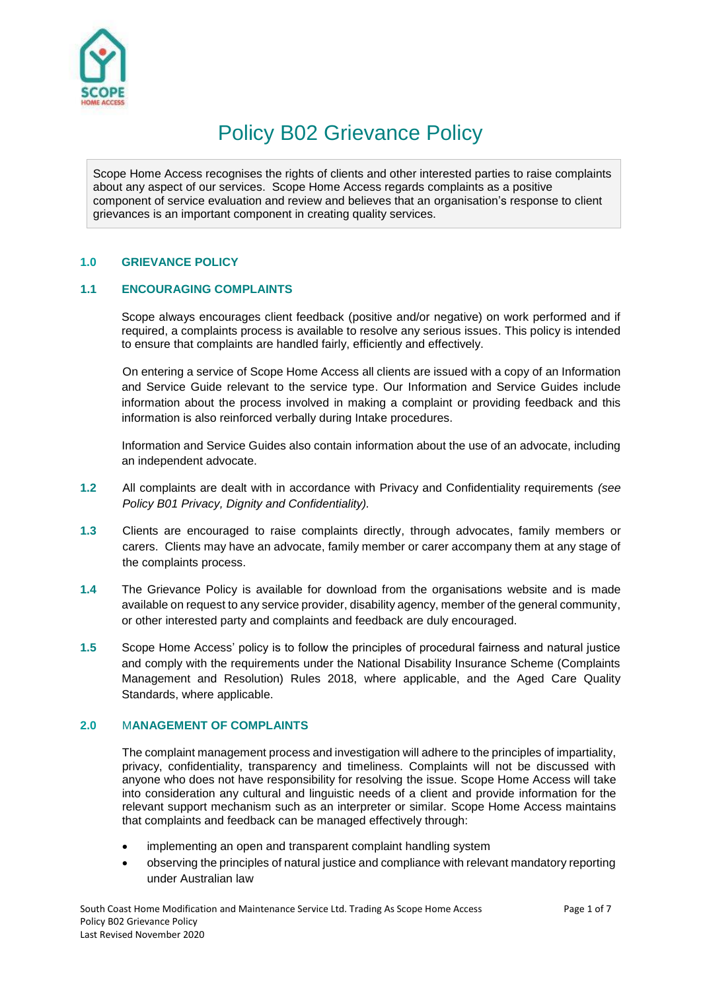

# Policy B02 Grievance Policy

Scope Home Access recognises the rights of clients and other interested parties to raise complaints about any aspect of our services. Scope Home Access regards complaints as a positive component of service evaluation and review and believes that an organisation's response to client grievances is an important component in creating quality services.

## **1.0 GRIEVANCE POLICY**

## **1.1 ENCOURAGING COMPLAINTS**

Scope always encourages client feedback (positive and/or negative) on work performed and if required, a complaints process is available to resolve any serious issues. This policy is intended to ensure that complaints are handled fairly, efficiently and effectively.

On entering a service of Scope Home Access all clients are issued with a copy of an Information and Service Guide relevant to the service type. Our Information and Service Guides include information about the process involved in making a complaint or providing feedback and this information is also reinforced verbally during Intake procedures.

Information and Service Guides also contain information about the use of an advocate, including an independent advocate.

- **1.2** All complaints are dealt with in accordance with Privacy and Confidentiality requirements *(see Policy B01 Privacy, Dignity and Confidentiality).*
- **1.3** Clients are encouraged to raise complaints directly, through advocates, family members or carers. Clients may have an advocate, family member or carer accompany them at any stage of the complaints process.
- **1.4** The Grievance Policy is available for download from the organisations website and is made available on request to any service provider, disability agency, member of the general community, or other interested party and complaints and feedback are duly encouraged.
- **1.5** Scope Home Access' policy is to follow the principles of procedural fairness and natural justice and comply with the requirements under the National Disability Insurance Scheme (Complaints Management and Resolution) Rules 2018, where applicable, and the Aged Care Quality Standards, where applicable.

## **2.0** M**ANAGEMENT OF COMPLAINTS**

The complaint management process and investigation will adhere to the principles of impartiality, privacy, confidentiality, transparency and timeliness. Complaints will not be discussed with anyone who does not have responsibility for resolving the issue. Scope Home Access will take into consideration any cultural and linguistic needs of a client and provide information for the relevant support mechanism such as an interpreter or similar. Scope Home Access maintains that complaints and feedback can be managed effectively through:

- implementing an open and transparent complaint handling system
- observing the principles of natural justice and compliance with relevant mandatory reporting under Australian law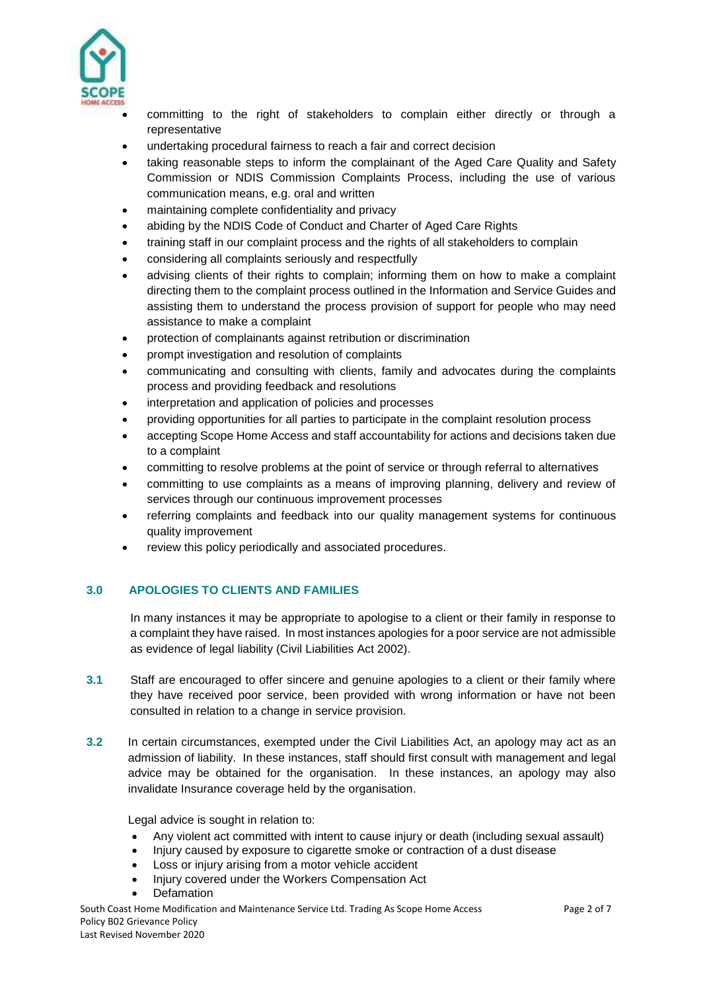

 committing to the right of stakeholders to complain either directly or through a representative

- undertaking procedural fairness to reach a fair and correct decision
- taking reasonable steps to inform the complainant of the Aged Care Quality and Safety Commission or NDIS Commission Complaints Process, including the use of various communication means, e.g. oral and written
- maintaining complete confidentiality and privacy
- abiding by the NDIS Code of Conduct and Charter of Aged Care Rights
- training staff in our complaint process and the rights of all stakeholders to complain
- considering all complaints seriously and respectfully
- advising clients of their rights to complain; informing them on how to make a complaint directing them to the complaint process outlined in the Information and Service Guides and assisting them to understand the process provision of support for people who may need assistance to make a complaint
- protection of complainants against retribution or discrimination
- prompt investigation and resolution of complaints
- communicating and consulting with clients, family and advocates during the complaints process and providing feedback and resolutions
- interpretation and application of policies and processes
- providing opportunities for all parties to participate in the complaint resolution process
- accepting Scope Home Access and staff accountability for actions and decisions taken due to a complaint
- committing to resolve problems at the point of service or through referral to alternatives
- committing to use complaints as a means of improving planning, delivery and review of services through our continuous improvement processes
- referring complaints and feedback into our quality management systems for continuous quality improvement
- review this policy periodically and associated procedures.

## **3.0 APOLOGIES TO CLIENTS AND FAMILIES**

In many instances it may be appropriate to apologise to a client or their family in response to a complaint they have raised. In most instances apologies for a poor service are not admissible as evidence of legal liability (Civil Liabilities Act 2002).

- **3.1** Staff are encouraged to offer sincere and genuine apologies to a client or their family where they have received poor service, been provided with wrong information or have not been consulted in relation to a change in service provision.
- **3.2** In certain circumstances, exempted under the Civil Liabilities Act, an apology may act as an admission of liability. In these instances, staff should first consult with management and legal advice may be obtained for the organisation. In these instances, an apology may also invalidate Insurance coverage held by the organisation.

Legal advice is sought in relation to:

- Any violent act committed with intent to cause injury or death (including sexual assault)
- Injury caused by exposure to cigarette smoke or contraction of a dust disease
- Loss or injury arising from a motor vehicle accident
- Injury covered under the Workers Compensation Act
- **Defamation**

South Coast Home Modification and Maintenance Service Ltd. Trading As Scope Home Access Page 2 of 7 Policy B02 Grievance Policy Last Revised November 2020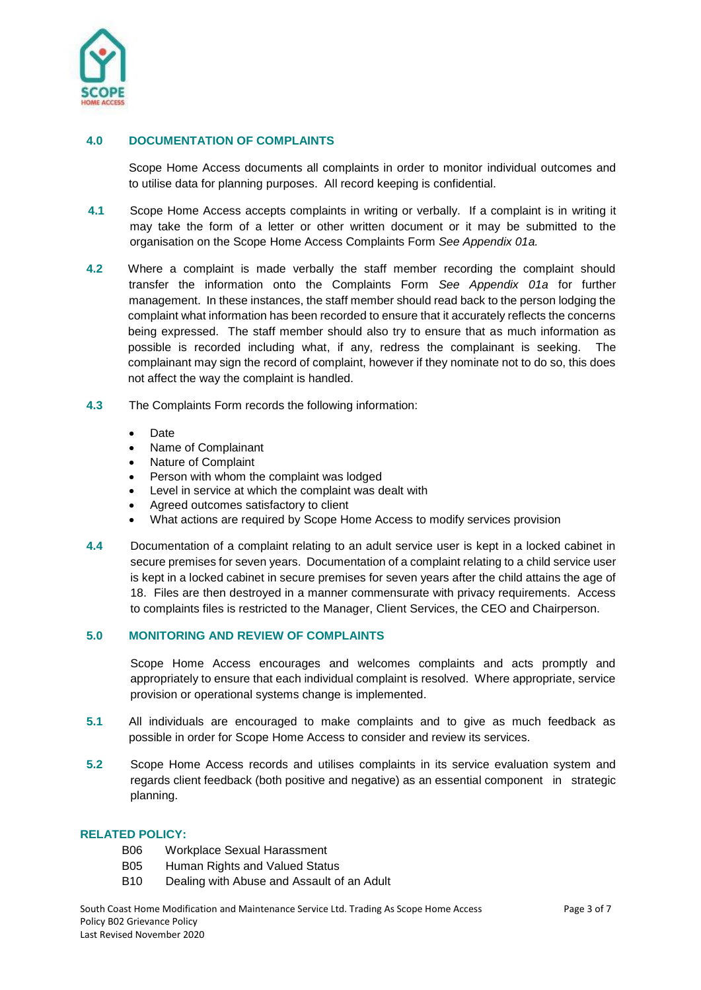

## **4.0 DOCUMENTATION OF COMPLAINTS**

Scope Home Access documents all complaints in order to monitor individual outcomes and to utilise data for planning purposes. All record keeping is confidential.

- **4.1** Scope Home Access accepts complaints in writing or verbally. If a complaint is in writing it may take the form of a letter or other written document or it may be submitted to the organisation on the Scope Home Access Complaints Form *See Appendix 01a.*
- **4.2** Where a complaint is made verbally the staff member recording the complaint should transfer the information onto the Complaints Form *See Appendix 01a* for further management. In these instances, the staff member should read back to the person lodging the complaint what information has been recorded to ensure that it accurately reflects the concerns being expressed. The staff member should also try to ensure that as much information as possible is recorded including what, if any, redress the complainant is seeking. The complainant may sign the record of complaint, however if they nominate not to do so, this does not affect the way the complaint is handled.
- **4.3** The Complaints Form records the following information:
	- Date
	- Name of Complainant
	- Nature of Complaint
	- Person with whom the complaint was lodged
	- Level in service at which the complaint was dealt with
	- Agreed outcomes satisfactory to client
	- What actions are required by Scope Home Access to modify services provision
- **4.4** Documentation of a complaint relating to an adult service user is kept in a locked cabinet in secure premises for seven years. Documentation of a complaint relating to a child service user is kept in a locked cabinet in secure premises for seven years after the child attains the age of 18. Files are then destroyed in a manner commensurate with privacy requirements. Access to complaints files is restricted to the Manager, Client Services, the CEO and Chairperson.

## **5.0 MONITORING AND REVIEW OF COMPLAINTS**

Scope Home Access encourages and welcomes complaints and acts promptly and appropriately to ensure that each individual complaint is resolved. Where appropriate, service provision or operational systems change is implemented.

- **5.1** All individuals are encouraged to make complaints and to give as much feedback as possible in order for Scope Home Access to consider and review its services.
- **5.2** Scope Home Access records and utilises complaints in its service evaluation system and regards client feedback (both positive and negative) as an essential component in strategic planning.

## **RELATED POLICY:**

- B06 Workplace Sexual Harassment
- B05 Human Rights and Valued Status
- B10 Dealing with Abuse and Assault of an Adult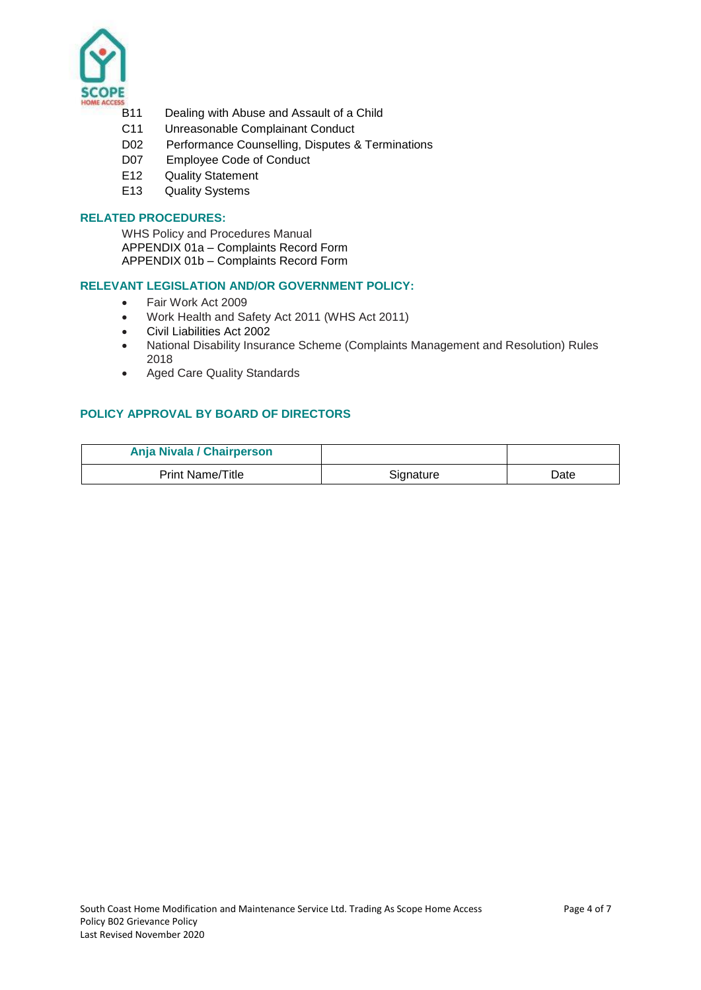

- B11 Dealing with Abuse and Assault of a Child
- C11 Unreasonable Complainant Conduct
- D02 Performance Counselling, Disputes & Terminations
- D07 Employee Code of Conduct
- E12 Quality Statement
- E13 Quality Systems

## **RELATED PROCEDURES:**

WHS Policy and Procedures Manual APPENDIX 01a – Complaints Record Form APPENDIX 01b – Complaints Record Form

#### **RELEVANT LEGISLATION AND/OR GOVERNMENT POLICY:**

- Fair Work Act 2009
- Work Health and Safety Act 2011 (WHS Act 2011)
- Civil Liabilities Act 2002
- National Disability Insurance Scheme (Complaints Management and Resolution) Rules 2018
- Aged Care Quality Standards

## **POLICY APPROVAL BY BOARD OF DIRECTORS**

| Anja Nivala / Chairperson |           |      |
|---------------------------|-----------|------|
| <b>Print Name/Title</b>   | Signature | Date |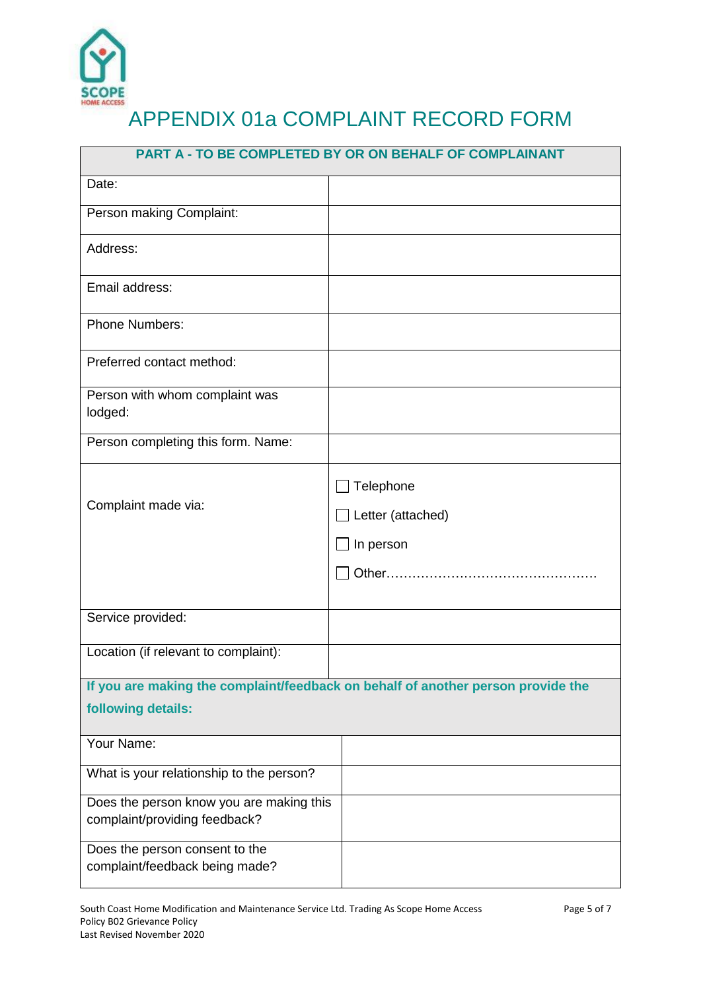

| <b>PART A - TO BE COMPLETED BY OR ON BEHALF OF COMPLAINANT</b>                                         |                                             |  |
|--------------------------------------------------------------------------------------------------------|---------------------------------------------|--|
| Date:                                                                                                  |                                             |  |
| Person making Complaint:                                                                               |                                             |  |
| Address:                                                                                               |                                             |  |
| Email address:                                                                                         |                                             |  |
| <b>Phone Numbers:</b>                                                                                  |                                             |  |
| Preferred contact method:                                                                              |                                             |  |
| Person with whom complaint was<br>lodged:                                                              |                                             |  |
| Person completing this form. Name:                                                                     |                                             |  |
| Complaint made via:                                                                                    | Telephone<br>Letter (attached)<br>In person |  |
| Service provided:                                                                                      |                                             |  |
| Location (if relevant to complaint):                                                                   |                                             |  |
| If you are making the complaint/feedback on behalf of another person provide the<br>following details: |                                             |  |
| Your Name:                                                                                             |                                             |  |
| What is your relationship to the person?                                                               |                                             |  |
| Does the person know you are making this<br>complaint/providing feedback?                              |                                             |  |
| Does the person consent to the<br>complaint/feedback being made?                                       |                                             |  |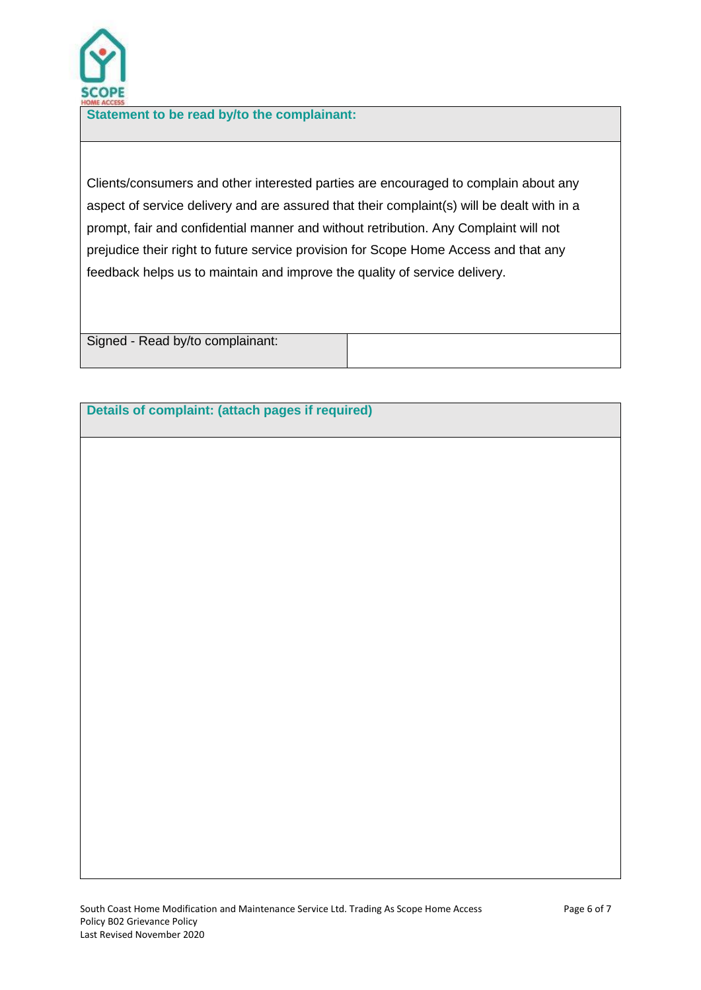

**Statement to be read by/to the complainant:**

Clients/consumers and other interested parties are encouraged to complain about any aspect of service delivery and are assured that their complaint(s) will be dealt with in a prompt, fair and confidential manner and without retribution. Any Complaint will not prejudice their right to future service provision for Scope Home Access and that any feedback helps us to maintain and improve the quality of service delivery.

Signed - Read by/to complainant:

## **Details of complaint: (attach pages if required)**